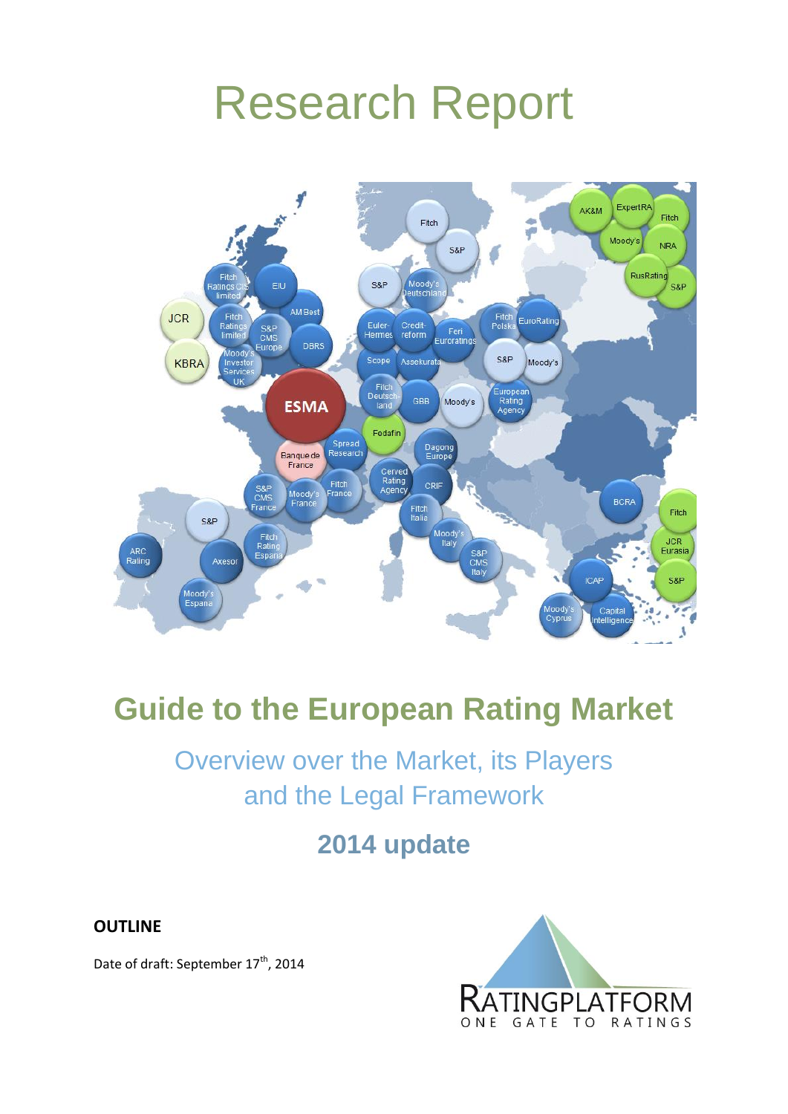# Research Report



# **Guide to the European Rating Market**

# Overview over the Market, its Players and the Legal Framework

## **2014 update**

**OUTLINE**

Date of draft: September 17<sup>th</sup>, 2014

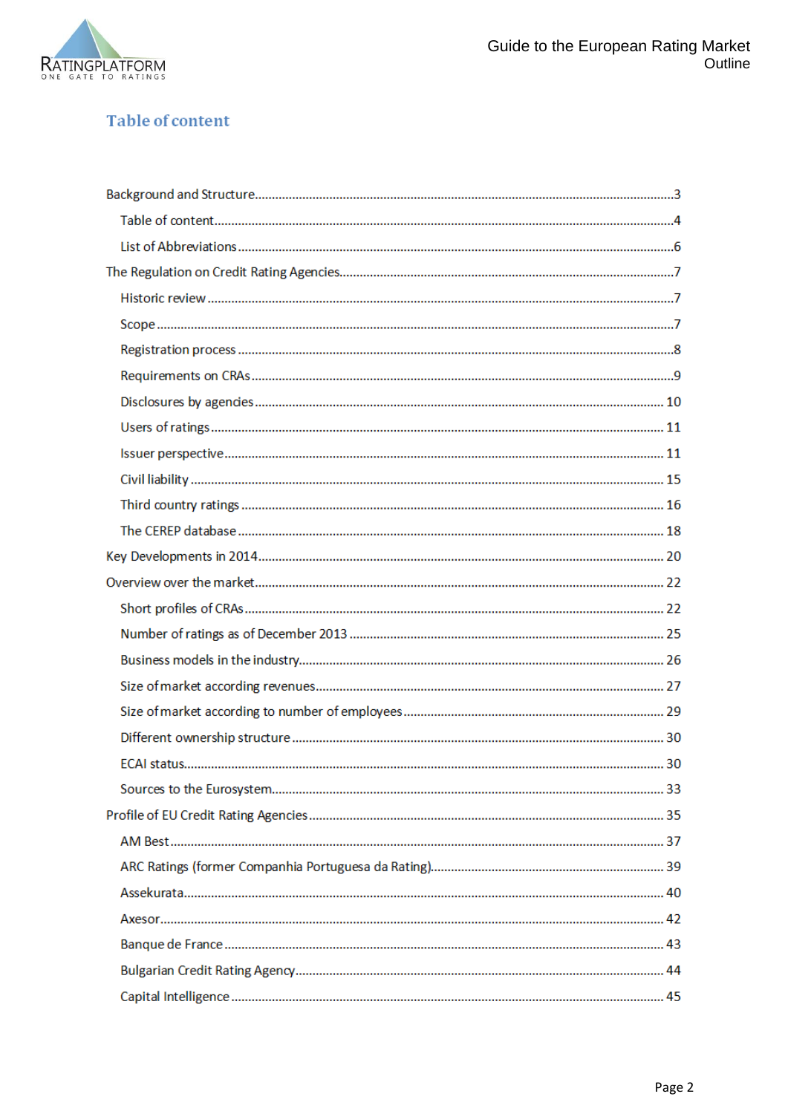

### **Table of content**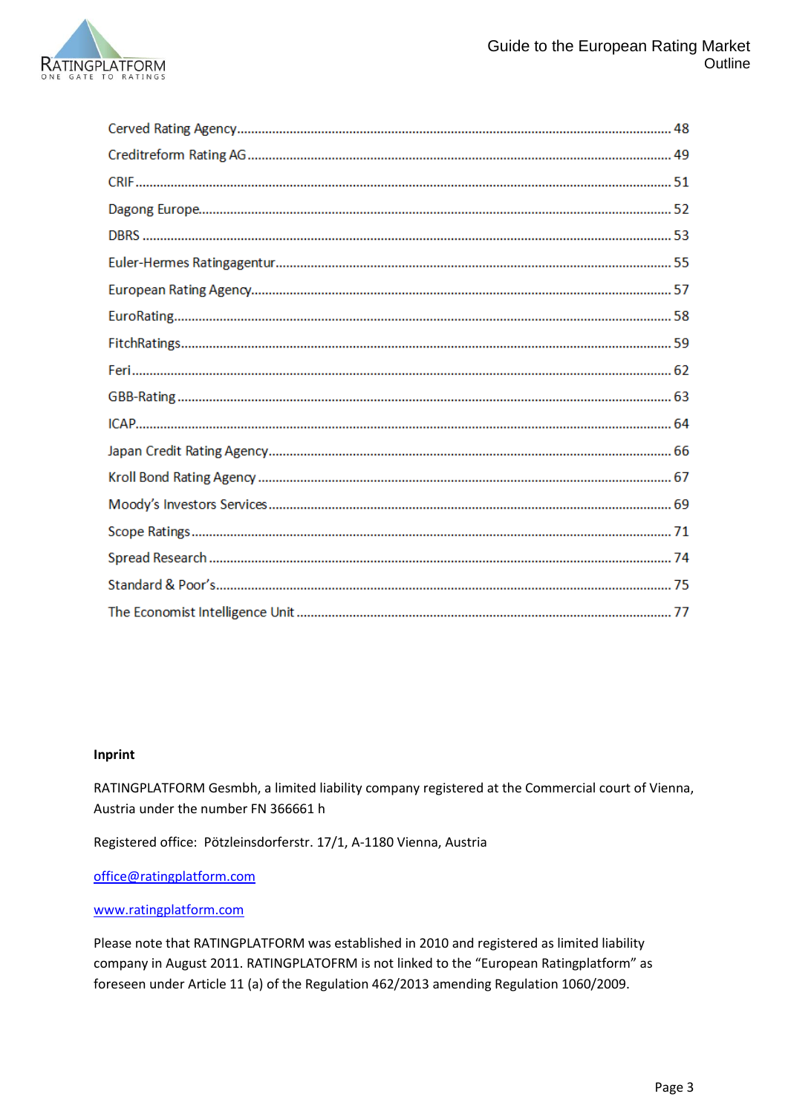

#### **Inprint**

RATINGPLATFORM Gesmbh, a limited liability company registered at the Commercial court of Vienna, Austria under the number FN 366661 h

Registered office: Pötzleinsdorferstr. 17/1, A-1180 Vienna, Austria

[office@ratingplatform.com](mailto:office@ratingplatform.com)

#### [www.ratingplatform.com](http://www.ratingplatform.com/)

Please note that RATINGPLATFORM was established in 2010 and registered as limited liability company in August 2011. RATINGPLATOFRM is not linked to the "European Ratingplatform" as foreseen under Article 11 (a) of the Regulation 462/2013 amending Regulation 1060/2009.